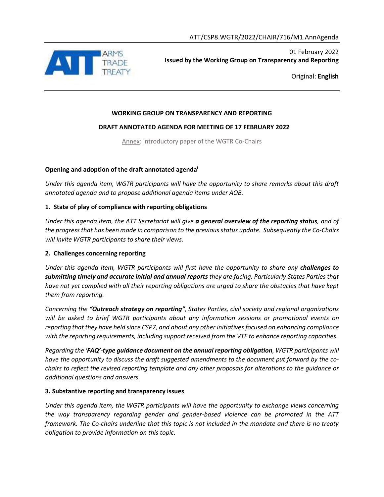

Original: **English**

### **WORKING GROUP ON TRANSPARENCY AND REPORTING**

### **DRAFT ANNOTATED AGENDA FOR MEETING OF 17 FEBRUARY 2022**

Annex: introductory paper of the WGTR Co-Chairs

### **Opening and adoption of the draft annotated agenda<sup>i</sup>**

*Under this agenda item, WGTR participants will have the opportunity to share remarks about this draft annotated agenda and to propose additional agenda items under AOB.*

## **1. State of play of compliance with reporting obligations**

*Under this agenda item, the ATT Secretariat will give a general overview of the reporting status, and of the progressthat has been made in comparison to the previous status update. Subsequently the Co-Chairs will invite WGTR participants to share their views.*

### **2. Challenges concerning reporting**

*Under this agenda item, WGTR participants will first have the opportunity to share any <i>challenges to submitting timely and accurate initial and annual reports they are facing. Particularly States Parties that have not yet complied with all their reporting obligations are urged to share the obstacles that have kept them from reporting.*

*Concerning the "Outreach strategy on reporting", States Parties, civil society and regional organizations will be asked to brief WGTR participants about any information sessions or promotional events on reporting that they have held since CSP7, and about any other initiatives focused on enhancing compliance with the reporting requirements, including support received from the VTF to enhance reporting capacities.*

*Regarding the 'FAQ'-type guidance document on the annual reporting obligation, WGTR participants will have the opportunity to discuss the draft suggested amendments to the document put forward by the cochairs to reflect the revised reporting template and any other proposals for alterations to the guidance or additional questions and answers.*

### **3. Substantive reporting and transparency issues**

*Under this agenda item, the WGTR participants will have the opportunity to exchange views concerning the way transparency regarding gender and gender-based violence can be promoted in the ATT framework. The Co-chairs underline that this topic is not included in the mandate and there is no treaty obligation to provide information on this topic.*